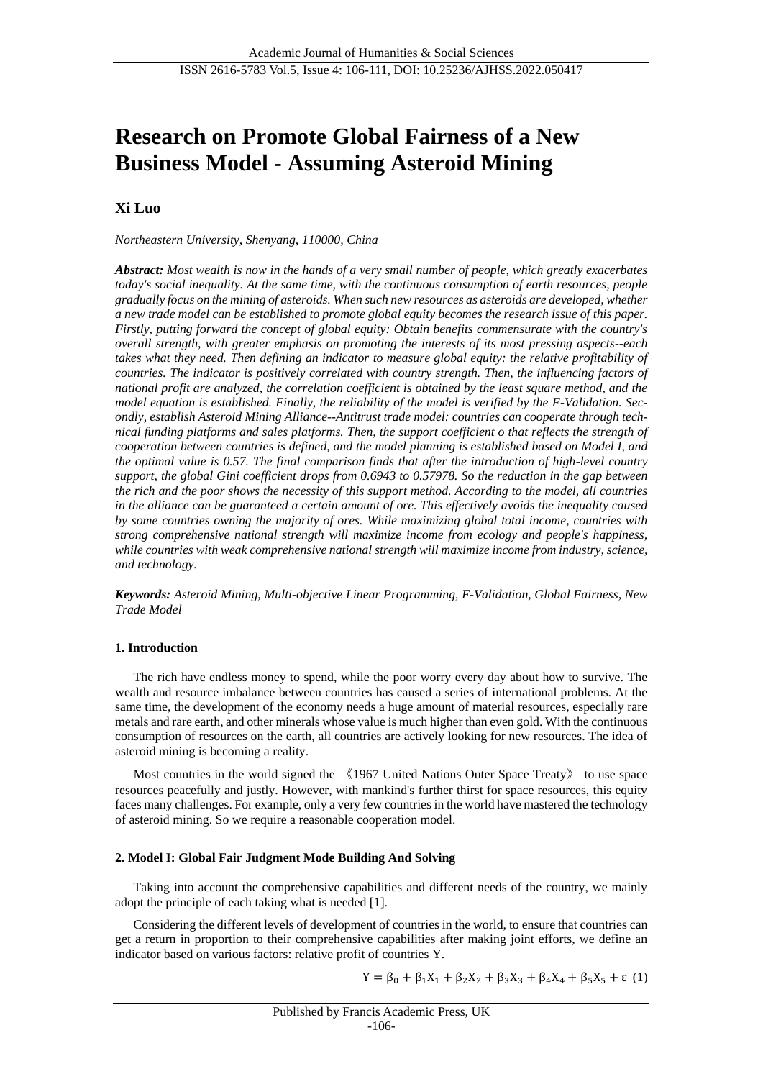# **Research on Promote Global Fairness of a New Business Model - Assuming Asteroid Mining**

## **Xi Luo**

*Northeastern University, Shenyang, 110000, China*

*Abstract: Most wealth is now in the hands of a very small number of people, which greatly exacerbates today's social inequality. At the same time, with the continuous consumption of earth resources, people gradually focus on the mining of asteroids. When such new resources as asteroids are developed, whether a new trade model can be established to promote global equity becomes the research issue of this paper. Firstly, putting forward the concept of global equity: Obtain benefits commensurate with the country's overall strength, with greater emphasis on promoting the interests of its most pressing aspects--each takes what they need. Then defining an indicator to measure global equity: the relative profitability of countries. The indicator is positively correlated with country strength. Then, the influencing factors of national profit are analyzed, the correlation coefficient is obtained by the least square method, and the model equation is established. Finally, the reliability of the model is verified by the F-Validation. Secondly, establish Asteroid Mining Alliance--Antitrust trade model: countries can cooperate through technical funding platforms and sales platforms. Then, the support coefficient o that reflects the strength of cooperation between countries is defined, and the model planning is established based on Model I, and the optimal value is 0.57. The final comparison finds that after the introduction of high-level country support, the global Gini coefficient drops from 0.6943 to 0.57978. So the reduction in the gap between the rich and the poor shows the necessity of this support method. According to the model, all countries in the alliance can be guaranteed a certain amount of ore. This effectively avoids the inequality caused by some countries owning the majority of ores. While maximizing global total income, countries with strong comprehensive national strength will maximize income from ecology and people's happiness, while countries with weak comprehensive national strength will maximize income from industry, science, and technology.*

*Keywords: Asteroid Mining, Multi-objective Linear Programming, F-Validation, Global Fairness, New Trade Model*

## **1. Introduction**

The rich have endless money to spend, while the poor worry every day about how to survive. The wealth and resource imbalance between countries has caused a series of international problems. At the same time, the development of the economy needs a huge amount of material resources, especially rare metals and rare earth, and other minerals whose value is much higher than even gold. With the continuous consumption of resources on the earth, all countries are actively looking for new resources. The idea of asteroid mining is becoming a reality.

Most countries in the world signed the 《1967 United Nations Outer Space Treaty》 to use space resources peacefully and justly. However, with mankind's further thirst for space resources, this equity faces many challenges. For example, only a very few countries in the world have mastered the technology of asteroid mining. So we require a reasonable cooperation model.

### **2. Model I: Global Fair Judgment Mode Building And Solving**

Taking into account the comprehensive capabilities and different needs of the country, we mainly adopt the principle of each taking what is needed [1].

Considering the different levels of development of countries in the world, to ensure that countries can get a return in proportion to their comprehensive capabilities after making joint efforts, we define an indicator based on various factors: relative profit of countries Y.

$$
Y = \beta_0 + \beta_1 X_1 + \beta_2 X_2 + \beta_3 X_3 + \beta_4 X_4 + \beta_5 X_5 + \epsilon (1)
$$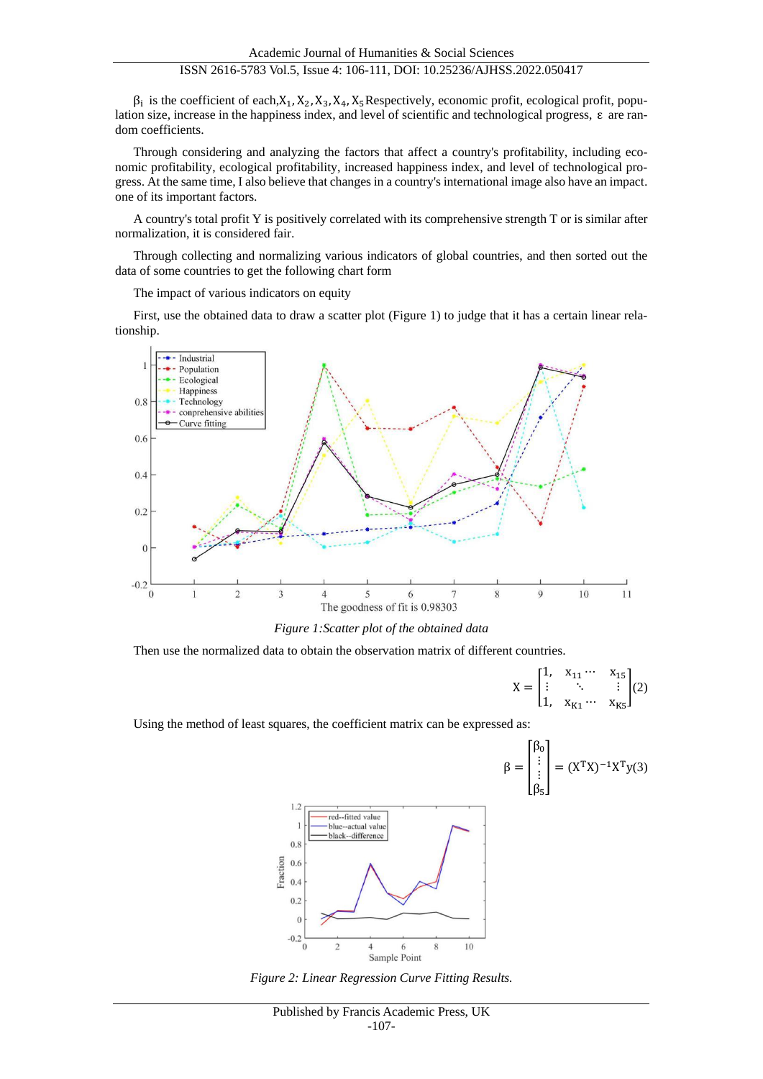## ISSN 2616-5783 Vol.5, Issue 4: 106-111, DOI: 10.25236/AJHSS.2022.050417

 $\beta_i$  is the coefficient of each,  $X_1, X_2, X_3, X_4, X_5$  Respectively, economic profit, ecological profit, population size, increase in the happiness index, and level of scientific and technological progress, ε are random coefficients.

Through considering and analyzing the factors that affect a country's profitability, including economic profitability, ecological profitability, increased happiness index, and level of technological progress. At the same time, I also believe that changes in a country's international image also have an impact. one of its important factors.

A country's total profit Y is positively correlated with its comprehensive strength T or is similar after normalization, it is considered fair.

Through collecting and normalizing various indicators of global countries, and then sorted out the data of some countries to get the following chart form

The impact of various indicators on equity

First, use the obtained data to draw a scatter plot (Figure 1) to judge that it has a certain linear relationship.



*Figure 1:Scatter plot of the obtained data*

Then use the normalized data to obtain the observation matrix of different countries.

$$
X = \begin{bmatrix} 1, & x_{11} & \cdots & x_{15} \\ \vdots & & \ddots & & \vdots \\ 1, & x_{K1} & \cdots & x_{K5} \end{bmatrix} (2)
$$

Using the method of least squares, the coefficient matrix can be expressed as:

$$
\beta = \begin{bmatrix} \beta_0 \\ \vdots \\ \beta_5 \end{bmatrix} = (X^T X)^{-1} X^T y(3)
$$



*Figure 2: Linear Regression Curve Fitting Results.*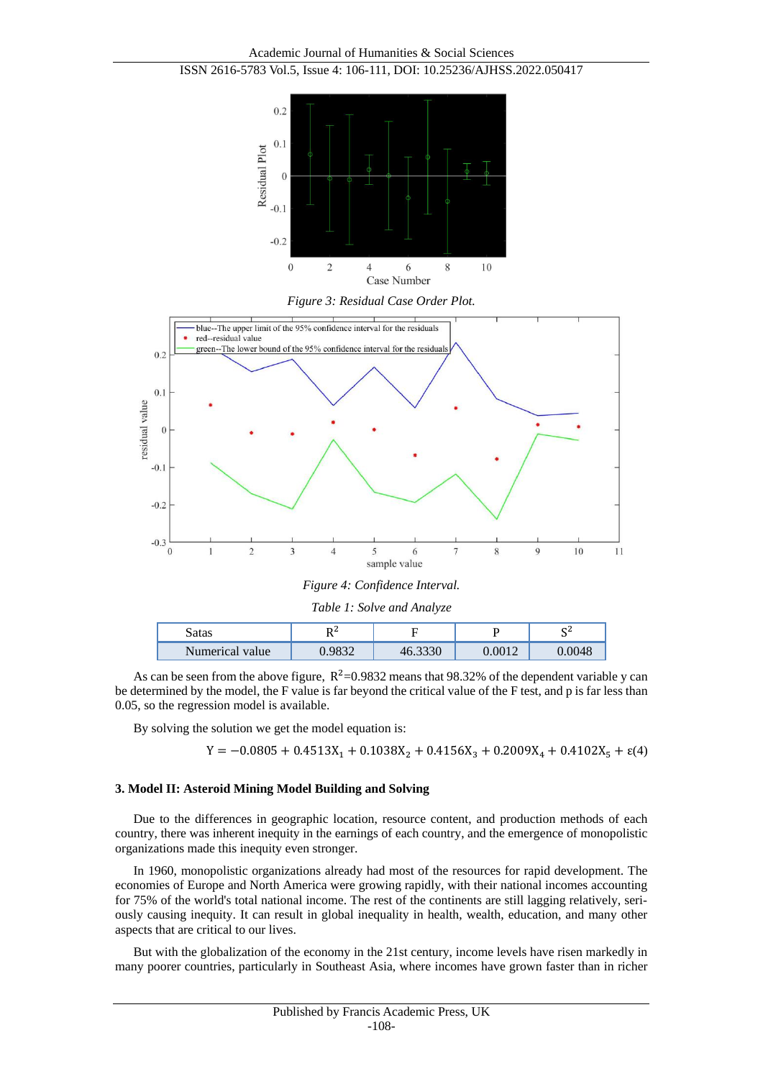Academic Journal of Humanities & Social Sciences ISSN 2616-5783 Vol.5, Issue 4: 106-111, DOI: 10.25236/AJHSS.2022.050417







| Figure 4: Confidence Interval. |  |  |  |
|--------------------------------|--|--|--|
|--------------------------------|--|--|--|

| Table 1: Solve and Analyze |        |         |        |        |  |
|----------------------------|--------|---------|--------|--------|--|
| Satas                      | D2     |         |        | СZ     |  |
| Numerical value            | 0.9832 | 46.3330 | 0.0012 | 0.0048 |  |

As can be seen from the above figure,  $R^2$ =0.9832 means that 98.32% of the dependent variable y can be determined by the model, the F value is far beyond the critical value of the F test, and p is far less than 0.05, so the regression model is available.

By solving the solution we get the model equation is:

$$
Y = -0.0805 + 0.4513X_1 + 0.1038X_2 + 0.4156X_3 + 0.2009X_4 + 0.4102X_5 + \epsilon(4)
$$

#### **3. Model II: Asteroid Mining Model Building and Solving**

Due to the differences in geographic location, resource content, and production methods of each country, there was inherent inequity in the earnings of each country, and the emergence of monopolistic organizations made this inequity even stronger.

In 1960, monopolistic organizations already had most of the resources for rapid development. The economies of Europe and North America were growing rapidly, with their national incomes accounting for 75% of the world's total national income. The rest of the continents are still lagging relatively, seriously causing inequity. It can result in global inequality in health, wealth, education, and many other aspects that are critical to our lives.

But with the globalization of the economy in the 21st century, income levels have risen markedly in many poorer countries, particularly in Southeast Asia, where incomes have grown faster than in richer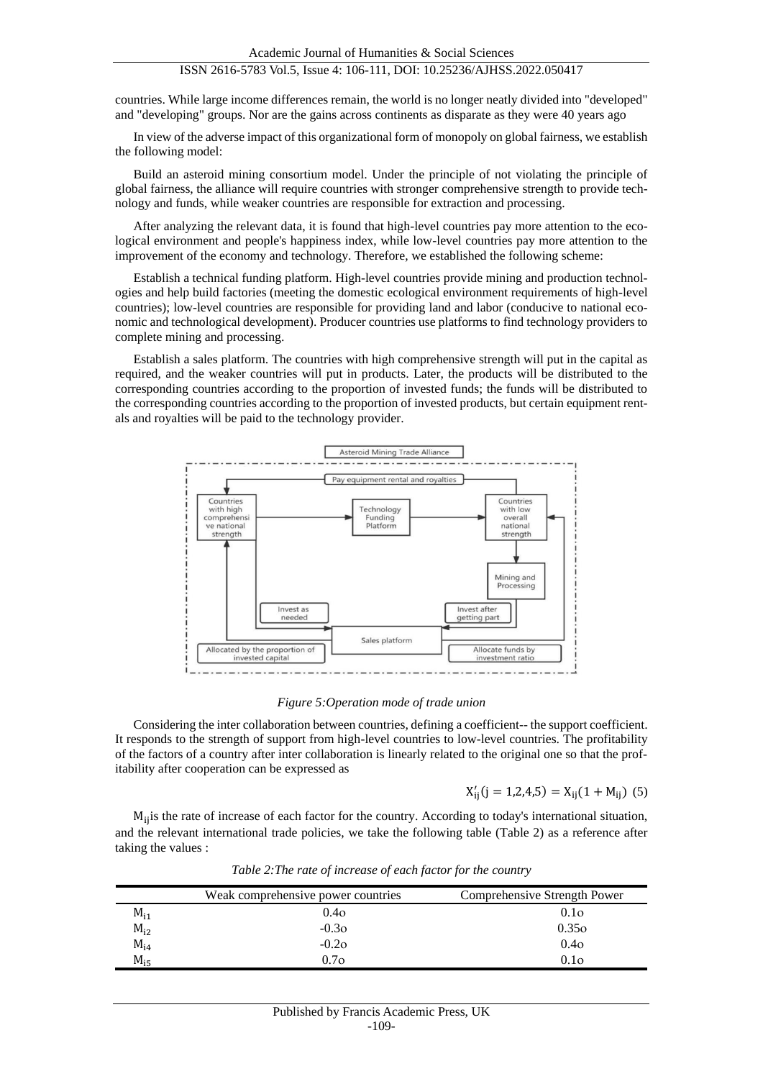## ISSN 2616-5783 Vol.5, Issue 4: 106-111, DOI: 10.25236/AJHSS.2022.050417

countries. While large income differences remain, the world is no longer neatly divided into "developed" and "developing" groups. Nor are the gains across continents as disparate as they were 40 years ago

In view of the adverse impact of this organizational form of monopoly on global fairness, we establish the following model:

Build an asteroid mining consortium model. Under the principle of not violating the principle of global fairness, the alliance will require countries with stronger comprehensive strength to provide technology and funds, while weaker countries are responsible for extraction and processing.

After analyzing the relevant data, it is found that high-level countries pay more attention to the ecological environment and people's happiness index, while low-level countries pay more attention to the improvement of the economy and technology. Therefore, we established the following scheme:

Establish a technical funding platform. High-level countries provide mining and production technologies and help build factories (meeting the domestic ecological environment requirements of high-level countries); low-level countries are responsible for providing land and labor (conducive to national economic and technological development). Producer countries use platforms to find technology providers to complete mining and processing.

Establish a sales platform. The countries with high comprehensive strength will put in the capital as required, and the weaker countries will put in products. Later, the products will be distributed to the corresponding countries according to the proportion of invested funds; the funds will be distributed to the corresponding countries according to the proportion of invested products, but certain equipment rentals and royalties will be paid to the technology provider.



*Figure 5:Operation mode of trade union*

Considering the inter collaboration between countries, defining a coefficient-- the support coefficient. It responds to the strength of support from high-level countries to low-level countries. The profitability of the factors of a country after inter collaboration is linearly related to the original one so that the profitability after cooperation can be expressed as

$$
X'_{ij}(j = 1,2,4,5) = X_{ij}(1 + M_{ij})
$$
 (5)

Mijis the rate of increase of each factor for the country. According to today's international situation, and the relevant international trade policies, we take the following table (Table 2) as a reference after taking the values :

|          | Weak comprehensive power countries | Comprehensive Strength Power |
|----------|------------------------------------|------------------------------|
| $M_{11}$ | 0.4 <sub>O</sub>                   | 0.1 <sub>O</sub>             |
| $M_{i2}$ | $-0.3O$                            | 0.35 <sub>o</sub>            |
| $M_{14}$ | $-0.2O$                            | 0.4 <sub>O</sub>             |
| $M_{15}$ | $0.7\sigma$                        | 0.10                         |

*Table 2:The rate of increase of each factor for the country*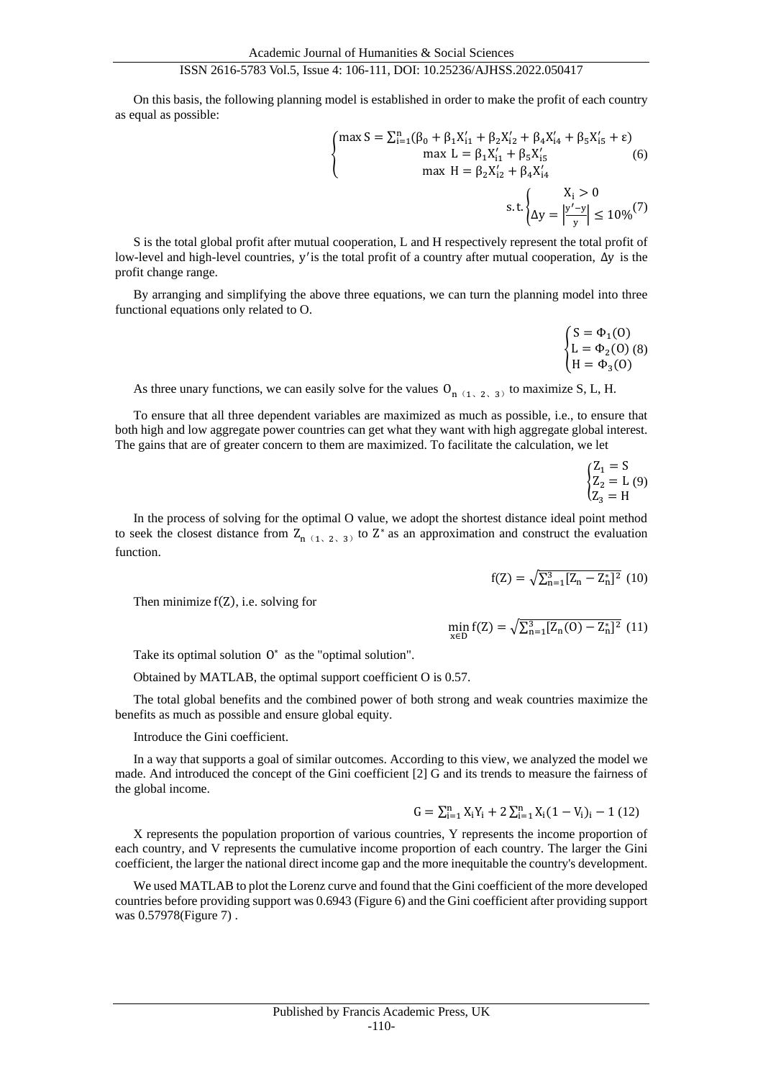## ISSN 2616-5783 Vol.5, Issue 4: 106-111, DOI: 10.25236/AJHSS.2022.050417

On this basis, the following planning model is established in order to make the profit of each country as equal as possible:

$$
\begin{cases}\n\max S = \sum_{i=1}^{n} (\beta_0 + \beta_1 X'_{i1} + \beta_2 X'_{i2} + \beta_4 X'_{i4} + \beta_5 X'_{i5} + \varepsilon) \\
\max L = \beta_1 X'_{i1} + \beta_5 X'_{i5} \\
\max H = \beta_2 X'_{i2} + \beta_4 X'_{i4} \\
\text{s.t.} \begin{cases}\nX_i > 0 \\
\Delta y = \left| \frac{y' - y}{y} \right| \le 10\%^{(7)}\n\end{cases}\n\end{cases}
$$

S is the total global profit after mutual cooperation, L and H respectively represent the total profit of low-level and high-level countries, y'is the total profit of a country after mutual cooperation, ∆y is the profit change range.

By arranging and simplifying the above three equations, we can turn the planning model into three functional equations only related to O.

$$
\begin{cases} S = \Phi_1(0) \\ L = \Phi_2(0) \, (8) \\ H = \Phi_3(0) \end{cases}
$$

As three unary functions, we can easily solve for the values  $O_{n(1, 2, 3)}$  to maximize S, L, H.

To ensure that all three dependent variables are maximized as much as possible, i.e., to ensure that both high and low aggregate power countries can get what they want with high aggregate global interest. The gains that are of greater concern to them are maximized. To facilitate the calculation, we let

$$
\begin{cases} Z_1 = S \\ Z_2 = L (9) \\ Z_3 = H \end{cases}
$$

In the process of solving for the optimal O value, we adopt the shortest distance ideal point method to seek the closest distance from  $Z_{n(1, 2, 3)}$  to  $Z^*$  as an approximation and construct the evaluation function.

$$
f(Z) = \sqrt{\sum_{n=1}^{3} [Z_n - Z_n^*]^2}
$$
 (10)

Then minimize f(Z), i.e. solving for

 $\min_{x \in D} f(Z) = \sqrt{\sum_{n=1}^{3} [Z_n(0) - Z_n^*]^2}$  (11)

Take its optimal solution  $0^*$  as the "optimal solution".

Obtained by MATLAB, the optimal support coefficient O is 0.57.

The total global benefits and the combined power of both strong and weak countries maximize the benefits as much as possible and ensure global equity.

Introduce the Gini coefficient.

In a way that supports a goal of similar outcomes. According to this view, we analyzed the model we made. And introduced the concept of the Gini coefficient [2] G and its trends to measure the fairness of the global income.

$$
G = \sum_{i=1}^{n} X_i Y_i + 2 \sum_{i=1}^{n} X_i (1 - V_i)_i - 1 (12)
$$

X represents the population proportion of various countries, Y represents the income proportion of each country, and V represents the cumulative income proportion of each country. The larger the Gini coefficient, the larger the national direct income gap and the more inequitable the country's development.

We used MATLAB to plot the Lorenz curve and found that the Gini coefficient of the more developed countries before providing support was 0.6943 (Figure 6) and the Gini coefficient after providing support was 0.57978(Figure 7) .